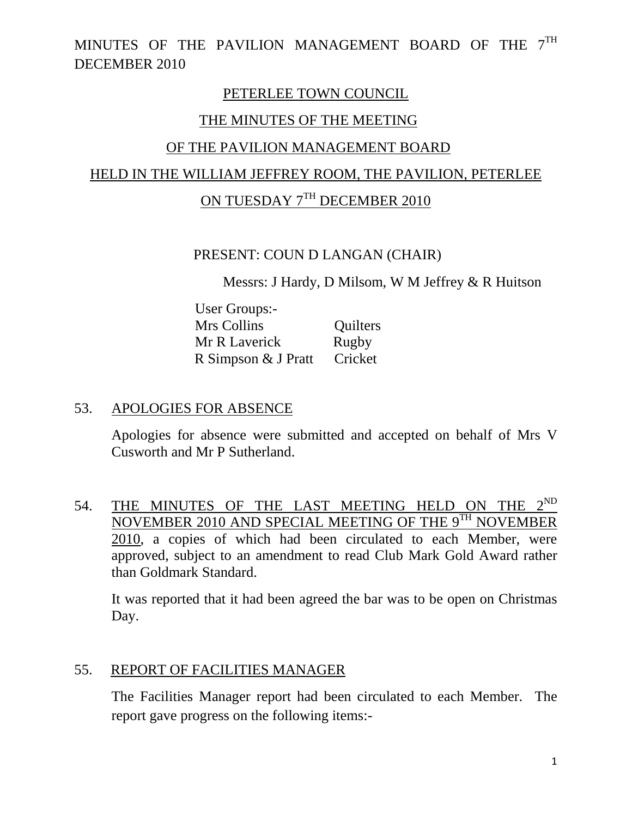### PETERLEE TOWN COUNCIL

### THE MINUTES OF THE MEETING

## OF THE PAVILION MANAGEMENT BOARD

### HELD IN THE WILLIAM JEFFREY ROOM, THE PAVILION, PETERLEE

# ON TUESDAY 7<sup>TH</sup> DECEMBER 2010

### PRESENT: COUN D LANGAN (CHAIR)

Messrs: J Hardy, D Milsom, W M Jeffrey & R Huitson

 User Groups:- Mrs Collins Quilters Mr R Laverick Rugby R Simpson & J Pratt Cricket

### 53. APOLOGIES FOR ABSENCE

Apologies for absence were submitted and accepted on behalf of Mrs V Cusworth and Mr P Sutherland.

54. THE MINUTES OF THE LAST MEETING HELD ON THE  $2^{ND}$ NOVEMBER 2010 AND SPECIAL MEETING OF THE 9TH NOVEMBER 2010, a copies of which had been circulated to each Member, were approved, subject to an amendment to read Club Mark Gold Award rather than Goldmark Standard.

It was reported that it had been agreed the bar was to be open on Christmas Day.

### 55. REPORT OF FACILITIES MANAGER

The Facilities Manager report had been circulated to each Member. The report gave progress on the following items:-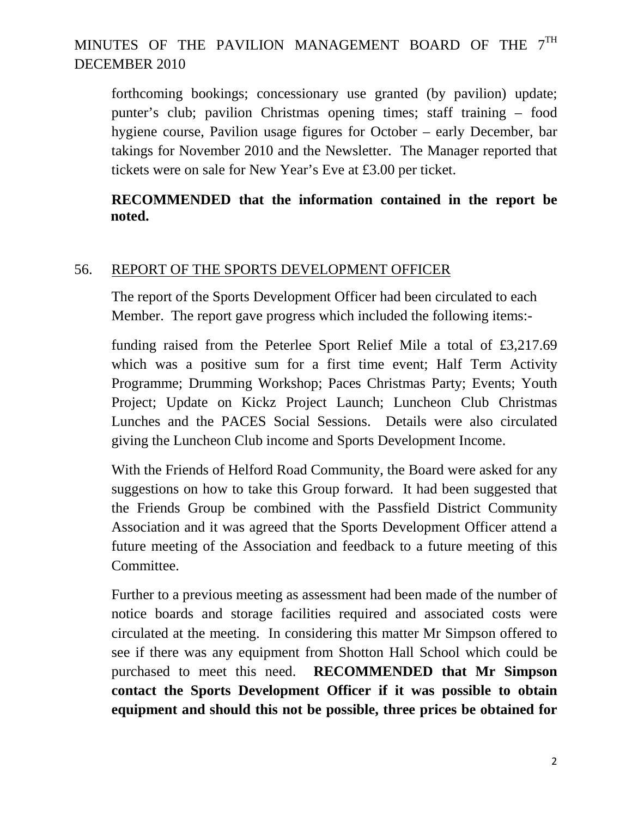forthcoming bookings; concessionary use granted (by pavilion) update; punter's club; pavilion Christmas opening times; staff training – food hygiene course, Pavilion usage figures for October – early December, bar takings for November 2010 and the Newsletter. The Manager reported that tickets were on sale for New Year's Eve at £3.00 per ticket.

### **RECOMMENDED that the information contained in the report be noted.**

### 56. REPORT OF THE SPORTS DEVELOPMENT OFFICER

The report of the Sports Development Officer had been circulated to each Member. The report gave progress which included the following items:-

funding raised from the Peterlee Sport Relief Mile a total of £3,217.69 which was a positive sum for a first time event; Half Term Activity Programme; Drumming Workshop; Paces Christmas Party; Events; Youth Project; Update on Kickz Project Launch; Luncheon Club Christmas Lunches and the PACES Social Sessions. Details were also circulated giving the Luncheon Club income and Sports Development Income.

With the Friends of Helford Road Community, the Board were asked for any suggestions on how to take this Group forward. It had been suggested that the Friends Group be combined with the Passfield District Community Association and it was agreed that the Sports Development Officer attend a future meeting of the Association and feedback to a future meeting of this Committee.

Further to a previous meeting as assessment had been made of the number of notice boards and storage facilities required and associated costs were circulated at the meeting. In considering this matter Mr Simpson offered to see if there was any equipment from Shotton Hall School which could be purchased to meet this need. **RECOMMENDED that Mr Simpson contact the Sports Development Officer if it was possible to obtain equipment and should this not be possible, three prices be obtained for**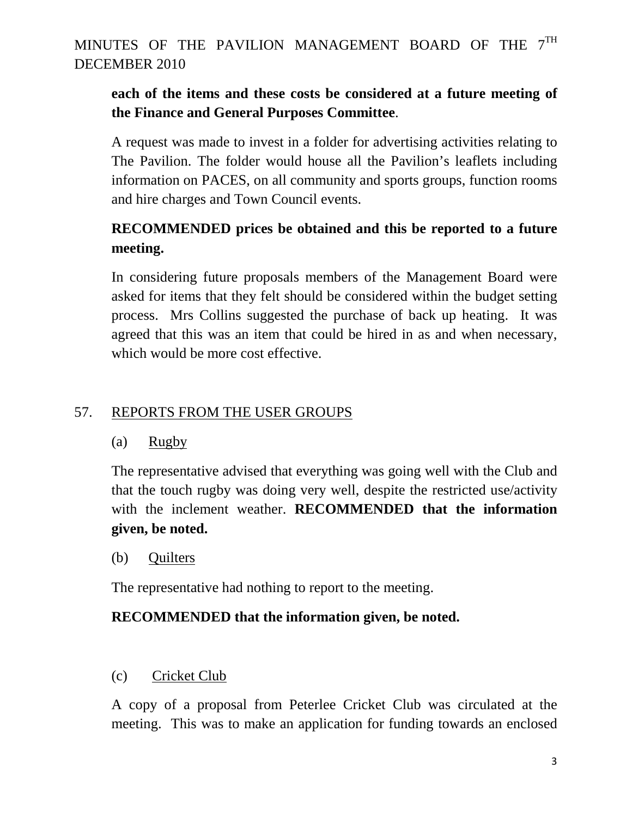## **each of the items and these costs be considered at a future meeting of the Finance and General Purposes Committee**.

A request was made to invest in a folder for advertising activities relating to The Pavilion. The folder would house all the Pavilion's leaflets including information on PACES, on all community and sports groups, function rooms and hire charges and Town Council events.

# **RECOMMENDED prices be obtained and this be reported to a future meeting.**

In considering future proposals members of the Management Board were asked for items that they felt should be considered within the budget setting process. Mrs Collins suggested the purchase of back up heating. It was agreed that this was an item that could be hired in as and when necessary, which would be more cost effective.

## 57. REPORTS FROM THE USER GROUPS

### (a) Rugby

The representative advised that everything was going well with the Club and that the touch rugby was doing very well, despite the restricted use/activity with the inclement weather. **RECOMMENDED that the information given, be noted.** 

(b) Quilters

The representative had nothing to report to the meeting.

## **RECOMMENDED that the information given, be noted.**

## (c) Cricket Club

A copy of a proposal from Peterlee Cricket Club was circulated at the meeting. This was to make an application for funding towards an enclosed